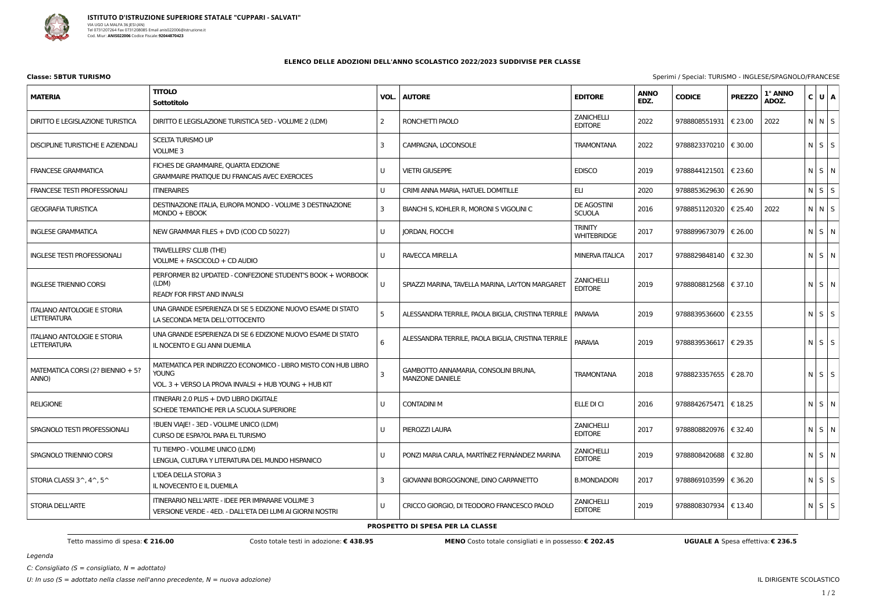

| Classe: 5BTUR TURISMO | Sperimi / Special: TURISMO - INGLESE/SPAGNOLO/FRANCESE |
|-----------------------|--------------------------------------------------------|
|                       |                                                        |

Legenda

C: Consigliato ( $S =$  consigliato,  $N =$  adottato)

## **ELENCO DELLE ADOZIONI DELL'ANNO SCOLASTICO 2022/2023 SUDDIVISE PER CLASSE**

**MATERIA TITOLO Sottotitolo VOL. AUTORE EDITORE ANNO** DIRITTO E LEGISLAZIONE TURISTICA | DIRITTO E LEGISLAZIONE TURISTICA 5ED - VOLUME 2 (LDM) | 2 | RONCHETTI PAOLO **ZANICHELLI** EDITORE DISCIPLINE TURISTICHE E AZIENDALI SCELTA TURISMO UP VOLUME 3 3 CAMPAGNA, LOCONSOLE TRAMONTANA 2022 FRANCESE GRAMMATICA FICHES DE GRAMMAIRE, QUARTA EDIZIONE GRAMMAIRE PRATIQUE DU FRANCAIS AVEC EXERCICES U VIETRI GIUSEPPE EDISCO 2019 9788844121501 € 23.60 N S N FRANCESE TESTI PROFESSIONALI ITINERAIRES UN CRIMI ANNA MARIA, HATUEL DOMITILLE IN ELI INCOLECTIBUTI IN 1920 ELI GEOGRAFIA TURISTICA **DESTINAZIONE ITALIA, EUROPA MONDO - VOLUME 3 DESTINAZIONE** MONDO + EBOOK 3 BIANCHI S, KOHLER R, MORONI S VIGOLINI C SCUOLA INGLESE GRAMMATICA NEW GRAMMAR FILES + DVD (COD CD 50227) U JORDAN, FIOCCHI **TRINITY** WHITEBRIDGE INGLESE TESTI PROFESSIONALI TRAVELLERS' CLUB (THE) VOLUME + FASCICOLO + CD AUDIO U RAVECCA MIRELLA MINERVA ITALICA 2017 INGLESE TRIENNIO CORSI PERFORMER B2 UPDATED - CONFEZIONE STUDENT'S BOOK + WORBOOK (LDM) READY FOR FIRST AND INVALSI U SPIAZZI MARINA, TAVELLA MARINA, LAYTON MARGARET **ZANICHELLI** EDITORE ITALIANO ANTOLOGIE E STORIA **LETTERATURA** UNA GRANDE ESPERIENZA DI SE 5 EDIZIONE NUOVO ESAME DI STATO LA SECONDA META DELL'OTTOCENTO 5 | ALESSANDRA TERRILE, PAOLA BIGLIA, CRISTINA TERRILE | PARAVIA | 2019 ITALIANO ANTOLOGIE E STORIA **LETTERATURA** UNA GRANDE ESPERIENZA DI SE 6 EDIZIONE NUOVO ESAME DI STATO IL NOCENTO E GLI ANNI DUEMILA 6 ALESSANDRA TERRILE, PAOLA BIGLIA, CRISTINA TERRILE MATEMATICA CORSI (2? BIENNIO + 5? ANNO) MATEMATICA PER INDIRIZZO ECONOMICO - LIBRO MISTO CON HUB LIBRO YOUNG VOL. 3 + VERSO LA PROVA INVALSI + HUB YOUNG + HUB KIT 3 GAMBOTTO ANNAMARIA, CONSOLINI BRUNA, MANZONE DANIELE TRAMONTANA | 2018 RELIGIONE ITINERARI 2.0 PLUS + DVD LIBRO DIGITALE SCHEDE TEMATICHE PER LA SCUOLA SUPERIORE U | CONTADINI M NI SI NI SI NI SI NI SI NI SI NI SI NI SI NI SI NI SI NI SI NI SI NI SI NI SI NI SI NI SI NI SI N SPAGNOLO TESTI PROFESSIONALI !BUEN VIAJE!- 3ED - VOLUME UNICO (LDM) CURSO DE ESPA?OL PARA EL TURISMO U PIEROZZI LAURA **ZANICHELLI EDITORE** SPAGNOLO TRIENNIO CORSI TU TIEMPO - VOLUME UNICO (LDM) LENGUA, CULTURA Y LITERATURA DEL MUNDO HISPANICO U PONZI MARIA CARLA, MARTÍNEZ FERNÁNDEZ MARINA **ZANICHELLI** EDITORE STORIA CLASSI  $3^{\wedge}$ ,  $4^{\wedge}$ ,  $5^{\wedge}$ L'IDEA DELLA STORIA 3 IL NOVECENTO E IL DUEMILA 3 GIOVANNI BORGOGNONE, DINO CARPANETTO B.MONDADORI 2017 STORIA DELL'ARTE ITINERARIO NELL'ARTE - IDEE PER IMPARARE VOLUME 3 VERSIONE VERDE - 4ED. - DALL'ETA DEI LUMI AI GIORNI NOSTRI U CRICCO GIORGIO, DI TEODORO FRANCESCO PAOLO **ZANICHELLI** EDITORE

Tetto massimo di spesa: € 216.00 Costo totale testi in adozione: € 438.95 MENO Costo totale consigliati e in possesso: € 202.45 UGUALE A Spesa effettiva: € 236.5

| <b>EDITORE</b>                      | <b>ANNO</b><br>EDZ. | <b>CODICE</b> | <b>PREZZO</b> | 1° ANNO<br>ADOZ. | C | U | A |
|-------------------------------------|---------------------|---------------|---------------|------------------|---|---|---|
| ZANICHELLI<br><b>EDITORE</b>        | 2022                | 9788808551931 | € 23.00       | 2022             | N | N | S |
| TRAMONTANA                          | 2022                | 9788823370210 | € 30.00       |                  | N | S | S |
| <b>EDISCO</b>                       | 2019                | 9788844121501 | € 23.60       |                  | N | S | N |
| EП                                  | 2020                | 9788853629630 | € 26.90       |                  | N | S | S |
| DE AGOSTINI<br><b>SCUOLA</b>        | 2016                | 9788851120320 | € 25.40       | 2022             | N | N | S |
| TRINITY<br><b>WHITEBRIDGE</b>       | 2017                | 9788899673079 | € 26.00       |                  | N | S | N |
| <b>MINERVA ITALICA</b>              | 2017                | 9788829848140 | € 32.30       |                  | N | S | N |
| ZANICHELLI<br><b>EDITORE</b>        | 2019                | 9788808812568 | € 37.10       |                  | N | S | N |
| <b>PARAVIA</b>                      | 2019                | 9788839536600 | € 23.55       |                  | N | S | S |
| <b>PARAVIA</b>                      | 2019                | 9788839536617 | € 29.35       |                  | N | S | S |
| <b>TRAMONTANA</b>                   | 2018                | 9788823357655 | € 28.70       |                  | N | S | S |
| ELLE DI CI                          | 2016                | 9788842675471 | €18.25        |                  | N | S | N |
| <b>ZANICHELLI</b><br><b>EDITORE</b> | 2017                | 9788808820976 | € 32.40       |                  | N | S | N |
| <b>ZANICHELLI</b><br><b>EDITORE</b> | 2019                | 9788808420688 | € 32.80       |                  | N | S | N |
| <b>B.MONDADORI</b>                  | 2017                | 9788869103599 | € 36.20       |                  | N | S | S |
| ZANICHELLI<br><b>EDITORE</b>        | 2019                | 9788808307934 | € 13.40       |                  | N | S | S |
|                                     |                     |               |               |                  |   |   |   |

**PROSPETTO DI SPESA PER LA CLASSE**